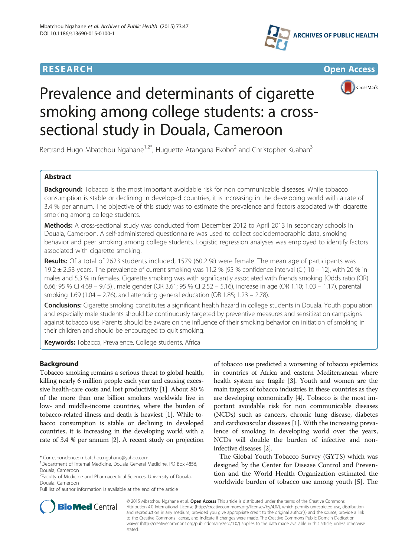







# Prevalence and determinants of cigarette smoking among college students: a crosssectional study in Douala, Cameroon

Bertrand Hugo Mbatchou Ngahane<sup>1,2\*</sup>, Huguette Atangana Ekobo<sup>2</sup> and Christopher Kuaban<sup>3</sup>

# Abstract

Background: Tobacco is the most important avoidable risk for non communicable diseases. While tobacco consumption is stable or declining in developed countries, it is increasing in the developing world with a rate of 3.4 % per annum. The objective of this study was to estimate the prevalence and factors associated with cigarette smoking among college students.

Methods: A cross-sectional study was conducted from December 2012 to April 2013 in secondary schools in Douala, Cameroon. A self-administered questionnaire was used to collect sociodemographic data, smoking behavior and peer smoking among college students. Logistic regression analyses was employed to identify factors associated with cigarette smoking.

Results: Of a total of 2623 students included, 1579 (60.2 %) were female. The mean age of participants was 19.2 ± 2.53 years. The prevalence of current smoking was 11.2 % [95 % confidence interval (CI) 10 – 12], with 20 % in males and 5.3 % in females. Cigarette smoking was with significantly associated with friends smoking [Odds ratio (OR) 6.66; 95 % CI 4.69 – 9.45)], male gender (OR 3.61; 95 % CI 2.52 – 5.16), increase in age (OR 1.10; 1.03 – 1.17), parental smoking 1.69 (1.04 – 2.76), and attending general education (OR 1.85; 1.23 – 2.78).

Conclusions: Cigarette smoking constitutes a significant health hazard in college students in Douala. Youth population and especially male students should be continuously targeted by preventive measures and sensitization campaigns against tobacco use. Parents should be aware on the influence of their smoking behavior on initiation of smoking in their children and should be encouraged to quit smoking.

Keywords: Tobacco, Prevalence, College students, Africa

# Background

Tobacco smoking remains a serious threat to global health, killing nearly 6 million people each year and causing excessive health-care costs and lost productivity [[1\]](#page-5-0). About 80 % of the more than one billion smokers worldwide live in low- and middle-income countries, where the burden of tobacco-related illness and death is heaviest [\[1](#page-5-0)]. While tobacco consumption is stable or declining in developed countries, it is increasing in the developing world with a rate of 3.4 % per annum [\[2](#page-5-0)]. A recent study on projection

\* Correspondence: [mbatchou.ngahane@yahoo.com](mailto:mbatchou.ngahane@yahoo.com) <sup>1</sup>

of tobacco use predicted a worsening of tobacco epidemics in countries of Africa and eastern Mediterranean where health system are fragile [\[3\]](#page-5-0). Youth and women are the main targets of tobacco industries in these countries as they are developing economically [\[4\]](#page-5-0). Tobacco is the most important avoidable risk for non communicable diseases (NCDs) such as cancers, chronic lung disease, diabetes and cardiovascular diseases [\[1](#page-5-0)]. With the increasing prevalence of smoking in developing world over the years, NCDs will double the burden of infective and noninfective diseases [\[2](#page-5-0)].

The Global Youth Tobacco Survey (GYTS) which was designed by the Center for Disease Control and Prevention and the World Health Organization estimated the worldwide burden of tobacco use among youth [[5\]](#page-5-0). The



© 2015 Mbatchou Ngahane et al. Open Access This article is distributed under the terms of the Creative Commons Attribution 4.0 International License [\(http://creativecommons.org/licenses/by/4.0/](http://creativecommons.org/licenses/by/4.0/)), which permits unrestricted use, distribution, and reproduction in any medium, provided you give appropriate credit to the original author(s) and the source, provide a link to the Creative Commons license, and indicate if changes were made. The Creative Commons Public Domain Dedication waiver [\(http://creativecommons.org/publicdomain/zero/1.0/\)](http://creativecommons.org/publicdomain/zero/1.0/) applies to the data made available in this article, unless otherwise stated

<sup>&</sup>lt;sup>1</sup>Department of Internal Medicine, Douala General Medicine, PO Box 4856, Douala, Cameroon

<sup>&</sup>lt;sup>2</sup> Faculty of Medicine and Pharmaceutical Sciences, University of Douala, Douala, Cameroon

Full list of author information is available at the end of the article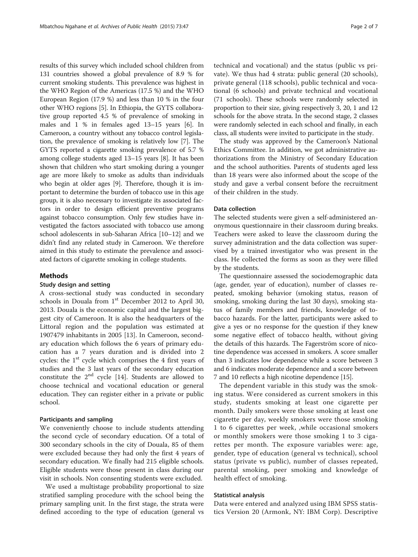results of this survey which included school children from 131 countries showed a global prevalence of 8.9 % for current smoking students. This prevalence was highest in the WHO Region of the Americas (17.5 %) and the WHO European Region (17.9 %) and less than 10 % in the four other WHO regions [\[5\]](#page-5-0). In Ethiopia, the GYTS collaborative group reported 4.5 % of prevalence of smoking in males and 1 % in females aged 13–15 years [[6\]](#page-5-0). In Cameroon, a country without any tobacco control legislation, the prevalence of smoking is relatively low [[7\]](#page-5-0). The GYTS reported a cigarette smoking prevalence of 5.7 % among college students aged 13–15 years [\[8\]](#page-5-0). It has been shown that children who start smoking during a younger age are more likely to smoke as adults than individuals who begin at older ages [\[9\]](#page-5-0). Therefore, though it is important to determine the burden of tobacco use in this age group, it is also necessary to investigate its associated factors in order to design efficient preventive programs against tobacco consumption. Only few studies have investigated the factors associated with tobacco use among school adolescents in sub-Saharan Africa [[10](#page-5-0)–[12\]](#page-5-0) and we didn't find any related study in Cameroon. We therefore aimed in this study to estimate the prevalence and associated factors of cigarette smoking in college students.

#### Methods

#### Study design and setting

A cross-sectional study was conducted in secondary schools in Douala from  $1<sup>st</sup>$  December 2012 to April 30, 2013. Douala is the economic capital and the largest biggest city of Cameroon. It is also the headquarters of the Littoral region and the population was estimated at 1907479 inhabitants in 2005 [\[13\]](#page-5-0). In Cameroon, secondary education which follows the 6 years of primary education has a 7 years duration and is divided into 2 cycles: the  $1<sup>st</sup>$  cycle which comprises the 4 first years of studies and the 3 last years of the secondary education constitute the 2nd cycle [\[14\]](#page-5-0). Students are allowed to choose technical and vocational education or general education. They can register either in a private or public school.

## Participants and sampling

We conveniently choose to include students attending the second cycle of secondary education. Of a total of 300 secondary schools in the city of Douala, 85 of them were excluded because they had only the first 4 years of secondary education. We finally had 215 eligible schools. Eligible students were those present in class during our visit in schools. Non consenting students were excluded.

We used a multistage probability proportional to size stratified sampling procedure with the school being the primary sampling unit. In the first stage, the strata were defined according to the type of education (general vs

technical and vocational) and the status (public vs private). We thus had 4 strata: public general (20 schools), private general (118 schools), public technical and vocational (6 schools) and private technical and vocational (71 schools). These schools were randomly selected in proportion to their size, giving respectively 3, 20, 1 and 12 schools for the above strata. In the second stage, 2 classes were randomly selected in each school and finally, in each class, all students were invited to participate in the study.

The study was approved by the Cameroon's National Ethics Committee. In addition, we got administrative authorizations from the Ministry of Secondary Education and the school authorities. Parents of students aged less than 18 years were also informed about the scope of the study and gave a verbal consent before the recruitment of their children in the study.

## Data collection

The selected students were given a self-administered anonymous questionnaire in their classroom during breaks. Teachers were asked to leave the classroom during the survey administration and the data collection was supervised by a trained investigator who was present in the class. He collected the forms as soon as they were filled by the students.

The questionnaire assessed the sociodemographic data (age, gender, year of education), number of classes repeated, smoking behavior (smoking status, reason of smoking, smoking during the last 30 days), smoking status of family members and friends, knowledge of tobacco hazards. For the latter, participants were asked to give a yes or no response for the question if they knew some negative effect of tobacco health, without giving the details of this hazards. The Fagerström score of nicotine dependence was accessed in smokers. A score smaller than 3 indicates low dependence while a score between 3 and 6 indicates moderate dependence and a score between 7 and 10 reflects a high nicotine dependence [[15](#page-5-0)].

The dependent variable in this study was the smoking status. Were considered as current smokers in this study, students smoking at least one cigarette per month. Daily smokers were those smoking at least one cigarette per day, weekly smokers were those smoking 1 to 6 cigarettes per week, ,while occasional smokers or monthly smokers were those smoking 1 to 3 cigarettes per month. The exposure variables were: age, gender, type of education (general vs technical), school status (private vs public), number of classes repeated, parental smoking, peer smoking and knowledge of health effect of smoking.

#### Statistical analysis

Data were entered and analyzed using IBM SPSS statistics Version 20 (Armonk, NY: IBM Corp). Descriptive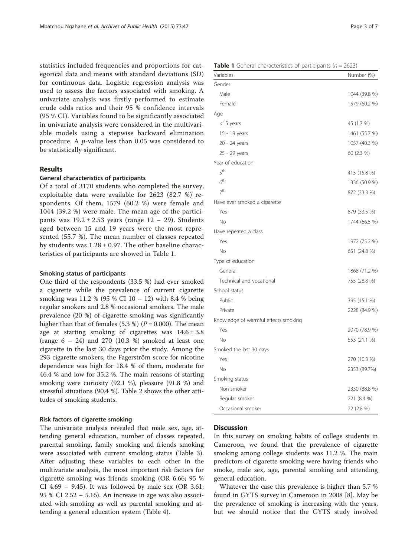statistics included frequencies and proportions for categorical data and means with standard deviations (SD) for continuous data. Logistic regression analysis was used to assess the factors associated with smoking. A univariate analysis was firstly performed to estimate crude odds ratios and their 95 % confidence intervals (95 % CI). Variables found to be significantly associated in univariate analysis were considered in the multivariable models using a stepwise backward elimination procedure. A p-value less than 0.05 was considered to be statistically significant.

## Results

## General characteristics of participants

Of a total of 3170 students who completed the survey, exploitable data were available for 2623 (82.7 %) respondents. Of them, 1579 (60.2 %) were female and 1044 (39.2 %) were male. The mean age of the participants was  $19.2 \pm 2.53$  years (range  $12 - 29$ ). Students aged between 15 and 19 years were the most represented (55.7 %). The mean number of classes repeated by students was  $1.28 \pm 0.97$ . The other baseline characteristics of participants are showed in Table 1.

## Smoking status of participants

One third of the respondents (33.5 %) had ever smoked a cigarette while the prevalence of current cigarette smoking was 11.2 % (95 % CI 10 – 12) with 8.4 % being regular smokers and 2.8 % occasional smokers. The male prevalence (20 %) of cigarette smoking was significantly higher than that of females (5.3 %) ( $P = 0.000$ ). The mean age at starting smoking of cigarettes was  $14.6 \pm 3.8$ (range  $6 - 24$ ) and  $270$  (10.3 %) smoked at least one cigarette in the last 30 days prior the study. Among the 293 cigarette smokers, the Fagerström score for nicotine dependence was high for 18.4 % of them, moderate for 46.4 % and low for 35.2 %. The main reasons of starting smoking were curiosity (92.1 %), pleasure (91.8 %) and stressful situations (90.4 %). Table [2](#page-3-0) shows the other attitudes of smoking students.

#### Risk factors of cigarette smoking

The univariate analysis revealed that male sex, age, attending general education, number of classes repeated, parental smoking, family smoking and friends smoking were associated with current smoking status (Table [3](#page-4-0)). After adjusting these variables to each other in the multivariate analysis, the most important risk factors for cigarette smoking was friends smoking (OR 6.66; 95 % CI 4.69 – 9.45). It was followed by male sex (OR 3.61; 95 % CI 2.52 – 5.16). An increase in age was also associated with smoking as well as parental smoking and attending a general education system (Table [4](#page-4-0)).

| <b>Table 1</b> General characteristics of participants ( $n = 2623$ ) |  |
|-----------------------------------------------------------------------|--|
|-----------------------------------------------------------------------|--|

| Variables                            | Number (%)    |
|--------------------------------------|---------------|
| Gender                               |               |
| Male                                 | 1044 (39.8 %) |
| Female                               | 1579 (60.2 %) |
| Age                                  |               |
| $<$ 15 years                         | 45 (1.7 %)    |
| 15 - 19 years                        | 1461 (55.7 %) |
| 20 - 24 years                        | 1057 (40.3 %) |
| 25 - 29 years                        | 60 (2.3 %)    |
| Year of education                    |               |
| 5 <sup>th</sup>                      | 415 (15.8 %)  |
| 6 <sup>th</sup>                      | 1336 (50.9 %) |
| 7 <sup>th</sup>                      | 872 (33.3 %)  |
| Have ever smoked a cigarette         |               |
| Yes                                  | 879 (33.5 %)  |
| No                                   | 1744 (66.5 %) |
| Have repeated a class                |               |
| Yes                                  | 1972 (75.2 %) |
| <b>No</b>                            | 651 (24.8 %)  |
| Type of education                    |               |
| General                              | 1868 (71.2 %) |
| Technical and vocational             | 755 (28.8 %)  |
| School status                        |               |
| Public                               | 395 (15.1 %)  |
| Private                              | 2228 (84.9 %) |
| Knowledge of warmful effects smoking |               |
| Yes                                  | 2070 (78.9 %) |
| <b>No</b>                            | 553 (21.1 %)  |
| Smoked the last 30 days              |               |
| Yes                                  | 270 (10.3 %)  |
| No                                   | 2353 (89.7%)  |
| Smoking status                       |               |
| Non smoker                           | 2330 (88.8 %) |
| Regular smoker                       | 221 (8.4 %)   |
| Occasional smoker                    | 72 (2.8 %)    |

#### **Discussion**

In this survey on smoking habits of college students in Cameroon, we found that the prevalence of cigarette smoking among college students was 11.2 %. The main predictors of cigarette smoking were having friends who smoke, male sex, age, parental smoking and attending general education.

Whatever the case this prevalence is higher than 5.7 % found in GYTS survey in Cameroon in 2008 [[8\]](#page-5-0). May be the prevalence of smoking is increasing with the years, but we should notice that the GYTS study involved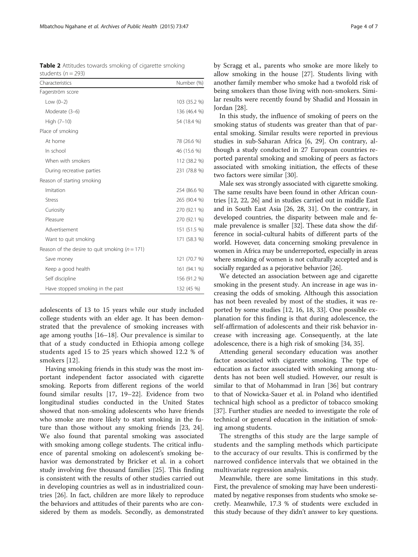<span id="page-3-0"></span>Table 2 Attitudes towards smoking of cigarette smoking students ( $n = 293$ )

| Characteristics                                    | Number (%)   |
|----------------------------------------------------|--------------|
| Fagerström score                                   |              |
| Low $(0-2)$                                        | 103 (35.2 %) |
| Moderate (3-6)                                     | 136 (46.4 %) |
| High (7-10)                                        | 54 (18.4 %)  |
| Place of smoking                                   |              |
| At home                                            | 78 (26.6 %)  |
| In school                                          | 46 (15.6 %)  |
| When with smokers                                  | 112 (38.2 %) |
| During recreative parties                          | 231 (78.8 %) |
| Reason of starting smoking                         |              |
| Imitation                                          | 254 (86.6 %) |
| <b>Stress</b>                                      | 265 (90.4 %) |
| Curiosity                                          | 270 (92.1 %) |
| Pleasure                                           | 270 (92.1 %) |
| Advertisement                                      | 151 (51.5 %) |
| Want to quit smoking                               | 171 (58.3 %) |
| Reason of the desire to quit smoking ( $n = 171$ ) |              |
| Save money                                         | 121 (70.7 %) |
| Keep a good health                                 | 161 (94.1 %) |
| Self discipline                                    | 156 (91.2 %) |
| Have stopped smoking in the past                   | 132 (45 %)   |

adolescents of 13 to 15 years while our study included college students with an elder age. It has been demonstrated that the prevalence of smoking increases with age among youths [[16](#page-5-0)–[18\]](#page-5-0). Our prevalence is similar to that of a study conducted in Ethiopia among college students aged 15 to 25 years which showed 12.2 % of smokers [[12](#page-5-0)].

Having smoking friends in this study was the most important independent factor associated with cigarette smoking. Reports from different regions of the world found similar results [[17, 19](#page-5-0)–[22\]](#page-5-0). Evidence from two longitudinal studies conducted in the United States showed that non-smoking adolescents who have friends who smoke are more likely to start smoking in the future than those without any smoking friends [[23](#page-5-0), [24](#page-5-0)]. We also found that parental smoking was associated with smoking among college students. The critical influence of parental smoking on adolescent's smoking behavior was demonstrated by Bricker et al. in a cohort study involving five thousand families [\[25\]](#page-5-0). This finding is consistent with the results of other studies carried out in developing countries as well as in industrialized countries [\[26\]](#page-5-0). In fact, children are more likely to reproduce the behaviors and attitudes of their parents who are considered by them as models. Secondly, as demonstrated by Scragg et al., parents who smoke are more likely to allow smoking in the house [\[27\]](#page-5-0). Students living with another family member who smoke had a twofold risk of being smokers than those living with non-smokers. Similar results were recently found by Shadid and Hossain in Jordan [[28\]](#page-5-0).

In this study, the influence of smoking of peers on the smoking status of students was greater than that of parental smoking. Similar results were reported in previous studies in sub-Saharan Africa [[6, 29](#page-5-0)]. On contrary, although a study conducted in 27 European countries reported parental smoking and smoking of peers as factors associated with smoking initiation, the effects of these two factors were similar [\[30](#page-5-0)].

Male sex was strongly associated with cigarette smoking. The same results have been found in other African countries [\[12, 22](#page-5-0), [26](#page-5-0)] and in studies carried out in middle East and in South East Asia [[26](#page-5-0), [28, 31\]](#page-5-0). On the contrary, in developed countries, the disparity between male and female prevalence is smaller [\[32](#page-5-0)]. These data show the difference in social-cultural habits of different parts of the world. However, data concerning smoking prevalence in women in Africa may be underreported, especially in areas where smoking of women is not culturally accepted and is socially regarded as a pejorative behavior [\[26\]](#page-5-0).

We detected an association between age and cigarette smoking in the present study. An increase in age was increasing the odds of smoking. Although this association has not been revealed by most of the studies, it was reported by some studies [\[12](#page-5-0), [16](#page-5-0), [18](#page-5-0), [33](#page-5-0)]. One possible explanation for this finding is that during adolescence, the self-affirmation of adolescents and their risk behavior increase with increasing age. Consequently, at the late adolescence, there is a high risk of smoking [\[34, 35\]](#page-6-0).

Attending general secondary education was another factor associated with cigarette smoking. The type of education as factor associated with smoking among students has not been well studied. However, our result is similar to that of Mohammad in Iran [[36\]](#page-6-0) but contrary to that of Nowicka-Sauer et al. in Poland who identified technical high school as a predictor of tobacco smoking [[37\]](#page-6-0). Further studies are needed to investigate the role of technical or general education in the initiation of smoking among students.

The strengths of this study are the large sample of students and the sampling methods which participate to the accuracy of our results. This is confirmed by the narrowed confidence intervals that we obtained in the multivariate regression analysis.

Meanwhile, there are some limitations in this study. First, the prevalence of smoking may have been underestimated by negative responses from students who smoke secretly. Meanwhile, 17.3 % of students were excluded in this study because of they didn't answer to key questions.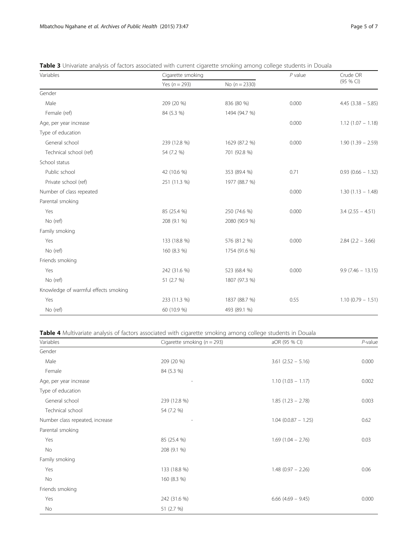<span id="page-4-0"></span>

| Table 3 Univariate analysis of factors associated with current cigarette smoking among college students in Douala |  |  |  |
|-------------------------------------------------------------------------------------------------------------------|--|--|--|
|-------------------------------------------------------------------------------------------------------------------|--|--|--|

| Variables                            | Cigarette smoking |                 | $P$ value | Crude OR             |
|--------------------------------------|-------------------|-----------------|-----------|----------------------|
|                                      | Yes $(n = 293)$   | No $(n = 2330)$ |           | (95 % CI)            |
| Gender                               |                   |                 |           |                      |
| Male                                 | 209 (20 %)        | 836 (80 %)      | 0.000     | $4.45$ (3.38 - 5.85) |
| Female (ref)                         | 84 (5.3 %)        | 1494 (94.7 %)   |           |                      |
| Age, per year increase               |                   |                 | 0.000     | $1.12(1.07 - 1.18)$  |
| Type of education                    |                   |                 |           |                      |
| General school                       | 239 (12.8 %)      | 1629 (87.2 %)   | 0.000     | $1.90(1.39 - 2.59)$  |
| Technical school (ref)               | 54 (7.2 %)        | 701 (92.8 %)    |           |                      |
| School status                        |                   |                 |           |                      |
| Public school                        | 42 (10.6 %)       | 353 (89.4 %)    | 0.71      | $0.93(0.66 - 1.32)$  |
| Private school (ref)                 | 251 (11.3 %)      | 1977 (88.7 %)   |           |                      |
| Number of class repeated             |                   |                 | 0.000     | $1.30(1.13 - 1.48)$  |
| Parental smoking                     |                   |                 |           |                      |
| Yes                                  | 85 (25.4 %)       | 250 (74.6 %)    | 0.000     | $3.4$ (2.55 - 4.51)  |
| No (ref)                             | 208 (9.1 %)       | 2080 (90.9 %)   |           |                      |
| Family smoking                       |                   |                 |           |                      |
| Yes                                  | 133 (18.8 %)      | 576 (81.2 %)    | 0.000     | $2.84$ (2.2 - 3.66)  |
| No (ref)                             | 160 (8.3 %)       | 1754 (91.6 %)   |           |                      |
| Friends smoking                      |                   |                 |           |                      |
| Yes                                  | 242 (31.6 %)      | 523 (68.4 %)    | 0.000     | $9.9(7.46 - 13.15)$  |
| No (ref)                             | 51 (2.7 %)        | 1807 (97.3 %)   |           |                      |
| Knowledge of warmful effects smoking |                   |                 |           |                      |
| Yes                                  | 233 (11.3 %)      | 1837 (88.7 %)   | 0.55      | $1.10(0.79 - 1.51)$  |
| No (ref)                             | 60 (10.9 %)       | 493 (89.1 %)    |           |                      |

Table 4 Multivariate analysis of factors associated with cigarette smoking among college students in Douala

| Variables                       | Cigarette smoking ( $n = 293$ ) | aOR (95 % CI)          | $P$ -value |
|---------------------------------|---------------------------------|------------------------|------------|
| Gender                          |                                 |                        |            |
| Male                            | 209 (20 %)                      | $3.61$ $(2.52 - 5.16)$ | 0.000      |
| Female                          | 84 (5.3 %)                      |                        |            |
| Age, per year increase          |                                 | $1.10(1.03 - 1.17)$    | 0.002      |
| Type of education               |                                 |                        |            |
| General school                  | 239 (12.8 %)                    | $1.85(1.23 - 2.78)$    | 0.003      |
| Technical school                | 54 (7.2 %)                      |                        |            |
| Number class repeated, increase |                                 | $1.04$ (0.0.87 - 1.25) | 0.62       |
| Parental smoking                |                                 |                        |            |
| Yes                             | 85 (25.4 %)                     | $1.69$ $(1.04 - 2.76)$ | 0.03       |
| No                              | 208 (9.1 %)                     |                        |            |
| Family smoking                  |                                 |                        |            |
| Yes                             | 133 (18.8 %)                    | $1.48(0.97 - 2.26)$    | 0.06       |
| No                              | 160 (8.3 %)                     |                        |            |
| Friends smoking                 |                                 |                        |            |
| Yes                             | 242 (31.6 %)                    | $6.66$ (4.69 - 9.45)   | 0.000      |
| No                              | 51 (2.7 %)                      |                        |            |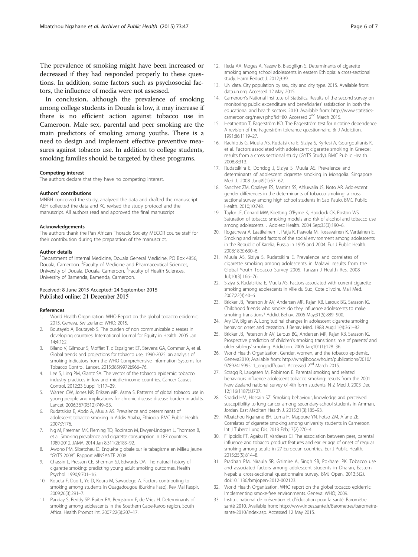<span id="page-5-0"></span>The prevalence of smoking might have been increased or decreased if they had responded properly to these questions. In addition, some factors such as psychosocial factors, the influence of media were not assessed.

In conclusion, although the prevalence of smoking among college students in Douala is low, it may increase if there is no efficient action against tobacco use in Cameroon. Male sex, parental and peer smoking are the main predictors of smoking among youths. There is a need to design and implement effective preventive measures against tobacco use. In addition to college students, smoking families should be targeted by these programs.

#### Competing interest

The authors declare that they have no competing interest.

#### Authors' contributions

MNBH conceived the study, analyzed the data and drafted the manuscript. AEH collected the data and KC revised the study protocol and the manuscript. All authors read and approved the final manuscript

#### Acknowledgements

The authors thank the Pan African Thoracic Society MECOR course staff for their contribution during the preparation of the manuscript.

#### Author details

<sup>1</sup>Department of Internal Medicine, Douala General Medicine, PO Box 4856, Douala, Cameroon. <sup>2</sup>Faculty of Medicine and Pharmaceutical Sciences, University of Douala, Douala, Cameroon. <sup>3</sup> Faculty of Health Sciences, University of Bamenda, Bamenda, Cameroon.

## Received: 8 June 2015 Accepted: 24 September 2015 Published online: 21 December 2015

#### References

- 1. World Health Organization. WHO Report on the global tobacco epidemic, 2015. Geneva, Switzerland: WHO; 2015.
- 2. Boutayeb A, Boutayeb S. The burden of non communicable diseases in developing countries. International Journal for Equity in Health. 2005 Jan 14;4(1):2.
- 3. Bilano V, Gilmour S, Moffiet T, d'Espaignet ET, Stevens GA, Commar A, et al. Global trends and projections for tobacco use, 1990-2025: an analysis of smoking indicators from the WHO Comprehensive Information Systems for Tobacco Control. Lancet. 2015;385(9972):966–76.
- 4. Lee S, Ling PM, Glantz SA. The vector of the tobacco epidemic: tobacco industry practices in low and middle-income countries. Cancer Causes Control. 2012;23 Suppl 1:117–29.
- 5. Warren CW, Jones NR, Eriksen MP, Asma S. Patterns of global tobacco use in young people and implications for chronic disease disease burden in adults. Lancet. 2006;367(9512):749–53.
- 6. Rudatsikira E, Abdo A, Muula AS. Prevalence and determinants of adolescent tobacco smoking in Addis Ababa, Ethiopia. BMC Public Health. 2007;7:176.
- 7. Ng M, Freeman MK, Fleming TD, Robinson M, Dwyer-Lindgren L, Thomson B, et al. Smoking prevalence and cigarette consumption in 187 countries, 1980-2012. JAMA. 2014 Jan 8;311(2):183–92.
- 8. Awono PM, Sibetcheu D. Enquête globale sur le tabagisme en Milieu jeune. ''GYTS 2008". Rapport MINSANTE 2008.
- 9. Chassin L, Presson CE, Sherman SJ, Edwards DA. The natural history of cigarette smoking: predicting young adult smoking outcomes. Health Psychol. 1990;9:701–16.
- 10. Koueta F, Dao L, Ye D, Koura M, Sawadogo A. Factors contributing to smoking among students in Ouagadougou (Burkina Faso). Rev Mal Respir. 2009;26(3):291–7.
- 11. Panday S, Reddy SP, Ruiter RA, Bergstrom E, de Vries H. Determinants of smoking among adolescents in the Southern Cape-Karoo region, South Africa. Health Promot Int. 2007;22(3):207–17.
- 12. Reda AA, Moges A, Yazew B, Biadgilign S. Determinants of cigarette smoking among school adolescents in eastern Ethiopia: a cross-sectional study. Harm Reduct J. 2012;9:39.
- 13. UN data. City population by sex, city and city type. 2015. Available from: [data.un.org.](http://data.un.org) Accessed 12 May 2015.
- 14. Cameroon's National Institute of Statistics. Results of the second survey on monitoring public expenditure and beneficiaries' satisfaction in both the educational and health sectors. 2010. Available from: [http://www.statistics](http://www.statistics-cameroon.org/news.php?id=80)[cameroon.org/news.php?id=80.](http://www.statistics-cameroon.org/news.php?id=80) Accessed 2<sup>nd</sup> March 2015.
- 15. Heatherton T, Fagerström KO. The Fagerström test for nicotine dependence. A revision of the Fagerström tolerance questionnaire. Br J Addiction. 1991;86:1119–27.
- 16. Rachiotis G, Muula AS, Rudatsikira E, Siziya S, Kyrlesi A, Gourgoulianis K, et al. Factors associated with adolescent cigarette smoking in Greece: results from a cross sectional study (GYTS Study). BMC Public Health. 2008;8:313.
- 17. Rudatsikira E, Dondog J, Siziya S, Muula AS. Prevalence and determinants of adolescent cigarette smoking in Mongolia. Singapore Med J. 2008 Jan;49(1):57–62.
- 18. Sanchez ZM, Opaleye ES, Martins SS, Ahluwalia JS, Noto AR. Adolescent gender differences in the determinants of tobacco smoking: a cross sectional survey among high school students in Sao Paulo. BMC Public Health. 2010;10:748.
- 19. Taylor JE, Conard MW, Koetting O'Byrne K, Haddock CK, Poston WS. Saturation of tobacco smoking models and risk of alcohol and tobacco use among adolescents. J Adolesc Health. 2004 Sep;35(3):190–6.
- 20. Rogacheva A, Laatikainen T, Patja K, Paavola M, Tossavainen K, Vartiainen E. Smoking and related factors of the social environment among adolescents in the Republic of Karelia, Russia in 1995 and 2004. Eur J Public Health. 2008;18(6):630–6.
- 21. Muula AS, Siziya S, Rudatsikira E. Prevalence and correlates of cigarette smoking among adolescents in Malawi: results from the Global Youth Tobacco Survey 2005. Tanzan J Health Res. 2008 Jul;10(3):166–76.
- 22. Siziya S, Rudatsikira E, Muula AS. Factors associated with current cigarette smoking among adolescents in Ville du Sud, Cote d'Ivoire. Mali Med. 2007;22(4):40–6.
- 23. Bricker JB, Peterson Jr AV, Andersen MR, Rajan KB, Leroux BG, Sarason IG. Childhood friends who smoke: do they influence adolescents to make smoking transitions? Addict Behav. 2006 May;31(5):889–900.
- 24. Ary DV, Biglan A. Longitudinal changes in adolescent cigarette smoking behavior: onset and cessation. J Behav Med. 1988 Aug;11(4):361–82.
- 25. Bricker JB, Peterson Jr AV, Leroux BG, Andersen MR, Rajan KB, Sarason IG. Prospective prediction of children's smoking transitions: role of parents' and older siblings' smoking. Addiction. 2006 Jan;101(1):128–36.
- 26. World Health Organization. Gender, women, and the tobacco epidemic. Geneva2010; Available from: [http://whqlibdoc.who.int/publications/2010/](http://whqlibdoc.who.int/publications/2010/9789241599511_eng.pdf?ua=1) [9789241599511\\_eng.pdf?ua=1.](http://whqlibdoc.who.int/publications/2010/9789241599511_eng.pdf?ua=1) Accessed 2<sup>nd</sup> March 2015.
- 27. Scragg R, Laugesen M, Robinson E. Parental smoking and related behaviours influence adolescent tobacco smoking: results from the 2001 New Zealand national survey of 4th form students. N Z Med J. 2003 Dec 12;116(1187):U707.
- 28. Shadid HM, Hossain SZ. Smoking behaviour, knowledge and perceived susceptibility to lung cancer among secondary-school students in Amman, Jordan. East Mediterr Health J. 2015;21(3):185–93.
- 29. Mbatchou Ngahane BH, Luma H, Mapoure YN, Fotso ZM, Afane ZE. Correlates of cigarette smoking among university students in Cameroon. Int J Tuberc Lung Dis. 2013 Feb;17(2):270–4.
- 30. Filippidis FT, Agaku IT, Vardavas CI. The association between peer, parental influence and tobacco product features and earlier age of onset of regular smoking among adults in 27 European countries. Eur J Public Health. 2015;25(5):814–8.
- 31. Pradhan PM, Niraula SR, Ghimire A, Singh SB, Pokharel PK. Tobacco use and associated factors among adolescent students in Dharan, Eastern Nepal: a cross-sectional questionnaire survey. BMJ Open. 2013;3(2). doi[:10.1136/bmjopen-2012-002123](http://dx.doi.org/10.1136/bmjopen-2012-002123).
- 32. World Health Organization. WHO report on the global tobacco epidemic: Implementing smoke-free environments. Geneva: WHO; 2009.
- 33. Institut national de prévention et d'éducation pour la santé. Baromètre santé 2010. Available from: [http://www.inpes.sante.fr/Barometres/barometre](http://www.inpes.sante.fr/Barometres/barometre-sante-2010/index.asp)[sante-2010/index.asp](http://www.inpes.sante.fr/Barometres/barometre-sante-2010/index.asp). Accessed 12 May 2015.